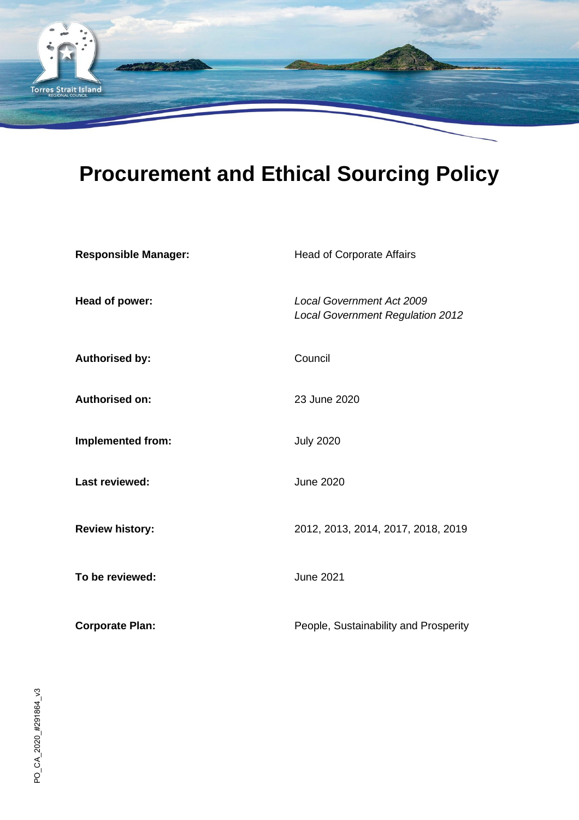

# **Procurement and Ethical Sourcing Policy**

| <b>Responsible Manager:</b> | <b>Head of Corporate Affairs</b>                                            |
|-----------------------------|-----------------------------------------------------------------------------|
| Head of power:              | <b>Local Government Act 2009</b><br><b>Local Government Regulation 2012</b> |
| <b>Authorised by:</b>       | Council                                                                     |
| <b>Authorised on:</b>       | 23 June 2020                                                                |
| <b>Implemented from:</b>    | <b>July 2020</b>                                                            |
| Last reviewed:              | <b>June 2020</b>                                                            |
| <b>Review history:</b>      | 2012, 2013, 2014, 2017, 2018, 2019                                          |
| To be reviewed:             | <b>June 2021</b>                                                            |
| <b>Corporate Plan:</b>      | People, Sustainability and Prosperity                                       |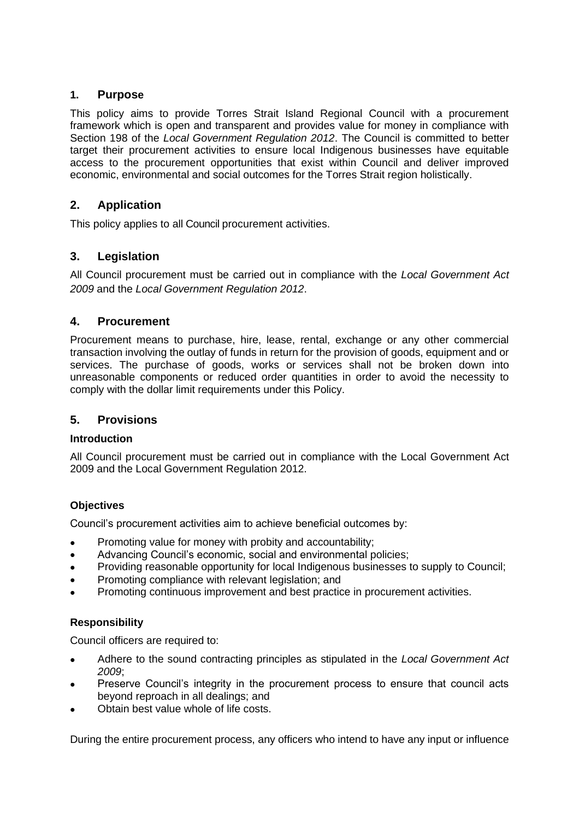# **1. Purpose**

This policy aims to provide Torres Strait Island Regional Council with a procurement framework which is open and transparent and provides value for money in compliance with Section 198 of the *Local Government Regulation 2012*. The Council is committed to better target their procurement activities to ensure local Indigenous businesses have equitable access to the procurement opportunities that exist within Council and deliver improved economic, environmental and social outcomes for the Torres Strait region holistically.

# **2. Application**

This policy applies to all Council procurement activities.

# **3. Legislation**

All Council procurement must be carried out in compliance with the *Local Government Act 2009* and the *Local Government Regulation 2012*.

# **4. Procurement**

Procurement means to purchase, hire, lease, rental, exchange or any other commercial transaction involving the outlay of funds in return for the provision of goods, equipment and or services. The purchase of goods, works or services shall not be broken down into unreasonable components or reduced order quantities in order to avoid the necessity to comply with the dollar limit requirements under this Policy.

# **5. Provisions**

#### **Introduction**

All Council procurement must be carried out in compliance with the Local Government Act 2009 and the Local Government Regulation 2012.

# **Objectives**

Council's procurement activities aim to achieve beneficial outcomes by:

- Promoting value for money with probity and accountability;
- Advancing Council's economic, social and environmental policies;
- Providing reasonable opportunity for local Indigenous businesses to supply to Council;
- Promoting compliance with relevant legislation; and
- Promoting continuous improvement and best practice in procurement activities.

# **Responsibility**

Council officers are required to:

- Adhere to the sound contracting principles as stipulated in the *Local Government Act 2009*;
- Preserve Council's integrity in the procurement process to ensure that council acts beyond reproach in all dealings; and
- Obtain best value whole of life costs.

During the entire procurement process, any officers who intend to have any input or influence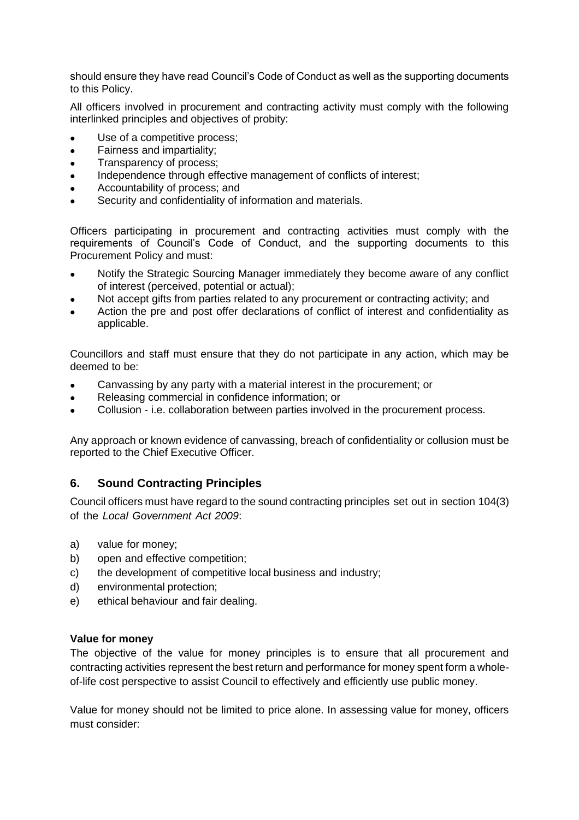should ensure they have read Council's Code of Conduct as well as the supporting documents to this Policy.

All officers involved in procurement and contracting activity must comply with the following interlinked principles and objectives of probity:

- Use of a competitive process;
- Fairness and impartiality;
- Transparency of process;
- Independence through effective management of conflicts of interest;
- Accountability of process; and
- Security and confidentiality of information and materials.

Officers participating in procurement and contracting activities must comply with the requirements of Council's Code of Conduct, and the supporting documents to this Procurement Policy and must:

- Notify the Strategic Sourcing Manager immediately they become aware of any conflict of interest (perceived, potential or actual);
- Not accept gifts from parties related to any procurement or contracting activity; and
- Action the pre and post offer declarations of conflict of interest and confidentiality as applicable.

Councillors and staff must ensure that they do not participate in any action, which may be deemed to be:

- Canvassing by any party with a material interest in the procurement; or
- Releasing commercial in confidence information; or
- Collusion i.e. collaboration between parties involved in the procurement process.

Any approach or known evidence of canvassing, breach of confidentiality or collusion must be reported to the Chief Executive Officer.

#### **6. Sound Contracting Principles**

Council officers must have regard to the sound contracting principles set out in section 104(3) of the *Local Government Act 2009*:

- a) value for money;
- b) open and effective competition;
- c) the development of competitive local business and industry;
- d) environmental protection;
- e) ethical behaviour and fair dealing.

#### **Value for money**

The objective of the value for money principles is to ensure that all procurement and contracting activities represent the best return and performance for money spent form a wholeof-life cost perspective to assist Council to effectively and efficiently use public money.

Value for money should not be limited to price alone. In assessing value for money, officers must consider: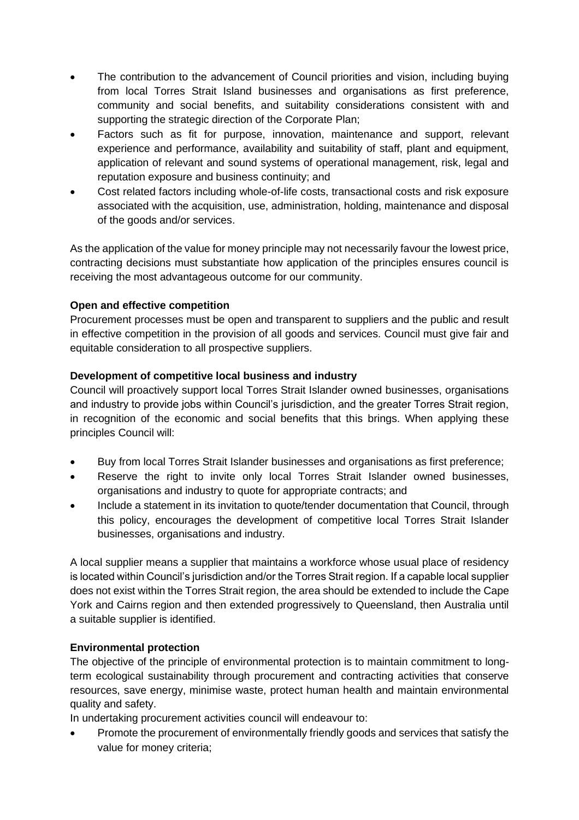- The contribution to the advancement of Council priorities and vision, including buying from local Torres Strait Island businesses and organisations as first preference, community and social benefits, and suitability considerations consistent with and supporting the strategic direction of the Corporate Plan;
- Factors such as fit for purpose, innovation, maintenance and support, relevant experience and performance, availability and suitability of staff, plant and equipment, application of relevant and sound systems of operational management, risk, legal and reputation exposure and business continuity; and
- Cost related factors including whole-of-life costs, transactional costs and risk exposure associated with the acquisition, use, administration, holding, maintenance and disposal of the goods and/or services.

As the application of the value for money principle may not necessarily favour the lowest price, contracting decisions must substantiate how application of the principles ensures council is receiving the most advantageous outcome for our community.

# **Open and effective competition**

Procurement processes must be open and transparent to suppliers and the public and result in effective competition in the provision of all goods and services. Council must give fair and equitable consideration to all prospective suppliers.

# **Development of competitive local business and industry**

Council will proactively support local Torres Strait Islander owned businesses, organisations and industry to provide jobs within Council's jurisdiction, and the greater Torres Strait region, in recognition of the economic and social benefits that this brings. When applying these principles Council will:

- Buy from local Torres Strait Islander businesses and organisations as first preference;
- Reserve the right to invite only local Torres Strait Islander owned businesses, organisations and industry to quote for appropriate contracts; and
- Include a statement in its invitation to quote/tender documentation that Council, through this policy, encourages the development of competitive local Torres Strait Islander businesses, organisations and industry.

A local supplier means a supplier that maintains a workforce whose usual place of residency is located within Council's jurisdiction and/or the Torres Strait region. If a capable local supplier does not exist within the Torres Strait region, the area should be extended to include the Cape York and Cairns region and then extended progressively to Queensland, then Australia until a suitable supplier is identified.

# **Environmental protection**

The objective of the principle of environmental protection is to maintain commitment to longterm ecological sustainability through procurement and contracting activities that conserve resources, save energy, minimise waste, protect human health and maintain environmental quality and safety.

In undertaking procurement activities council will endeavour to:

• Promote the procurement of environmentally friendly goods and services that satisfy the value for money criteria;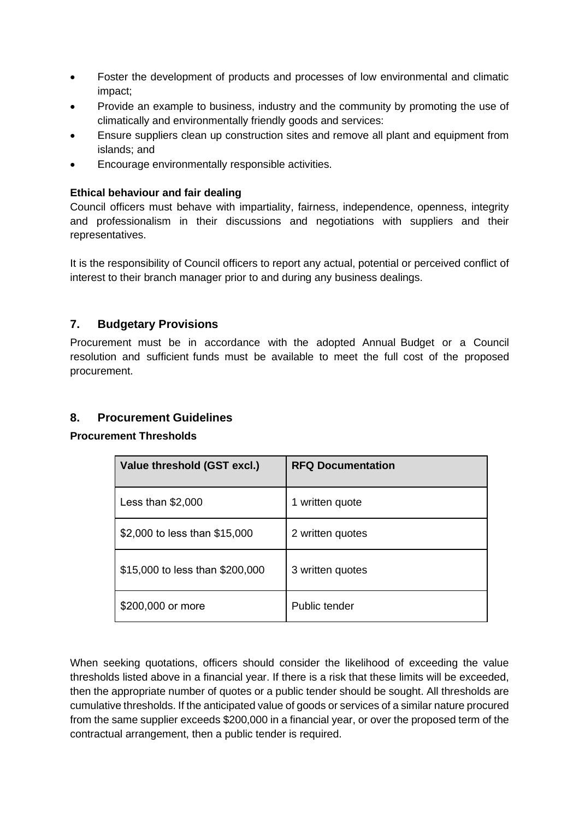- Foster the development of products and processes of low environmental and climatic impact;
- Provide an example to business, industry and the community by promoting the use of climatically and environmentally friendly goods and services:
- Ensure suppliers clean up construction sites and remove all plant and equipment from islands; and
- Encourage environmentally responsible activities.

#### **Ethical behaviour and fair dealing**

Council officers must behave with impartiality, fairness, independence, openness, integrity and professionalism in their discussions and negotiations with suppliers and their representatives.

It is the responsibility of Council officers to report any actual, potential or perceived conflict of interest to their branch manager prior to and during any business dealings.

# **7. Budgetary Provisions**

Procurement must be in accordance with the adopted Annual Budget or a Council resolution and sufficient funds must be available to meet the full cost of the proposed procurement.

# **8. Procurement Guidelines**

#### **Procurement Thresholds**

| Value threshold (GST excl.)     | <b>RFQ Documentation</b> |
|---------------------------------|--------------------------|
| Less than $$2,000$              | written quote<br>1.      |
| \$2,000 to less than \$15,000   | 2 written quotes         |
| \$15,000 to less than \$200,000 | 3 written quotes         |
| \$200,000 or more               | Public tender            |

When seeking quotations, officers should consider the likelihood of exceeding the value thresholds listed above in a financial year. If there is a risk that these limits will be exceeded, then the appropriate number of quotes or a public tender should be sought. All thresholds are cumulative thresholds. If the anticipated value of goods or services of a similar nature procured from the same supplier exceeds \$200,000 in a financial year, or over the proposed term of the contractual arrangement, then a public tender is required.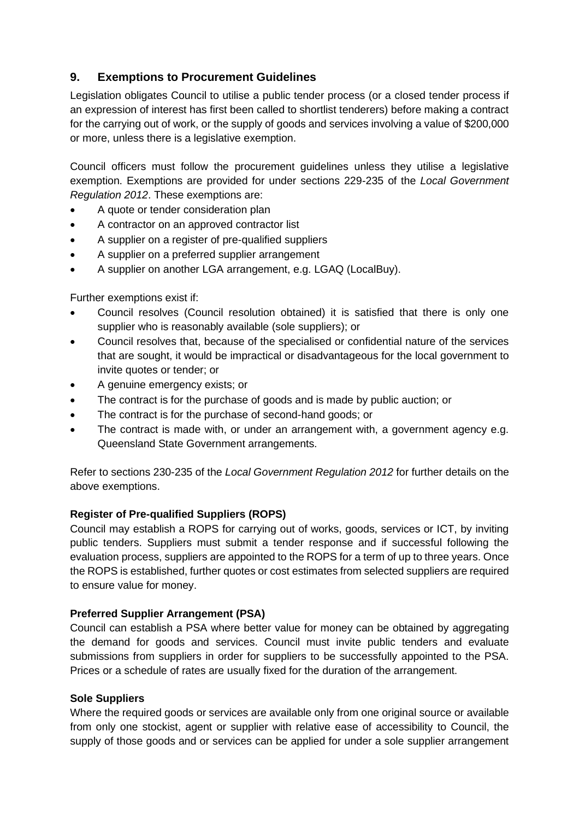# **9. Exemptions to Procurement Guidelines**

Legislation obligates Council to utilise a public tender process (or a closed tender process if an expression of interest has first been called to shortlist tenderers) before making a contract for the carrying out of work, or the supply of goods and services involving a value of \$200,000 or more, unless there is a legislative exemption.

Council officers must follow the procurement guidelines unless they utilise a legislative exemption. Exemptions are provided for under sections 229-235 of the *Local Government Regulation 2012*. These exemptions are:

- A quote or tender consideration plan
- A contractor on an approved contractor list
- A supplier on a register of pre-qualified suppliers
- A supplier on a preferred supplier arrangement
- A supplier on another LGA arrangement, e.g. LGAQ (LocalBuy).

Further exemptions exist if:

- Council resolves (Council resolution obtained) it is satisfied that there is only one supplier who is reasonably available (sole suppliers); or
- Council resolves that, because of the specialised or confidential nature of the services that are sought, it would be impractical or disadvantageous for the local government to invite quotes or tender; or
- A genuine emergency exists; or
- The contract is for the purchase of goods and is made by public auction; or
- The contract is for the purchase of second-hand goods; or
- The contract is made with, or under an arrangement with, a government agency e.g. Queensland State Government arrangements.

Refer to sections 230-235 of the *Local Government Regulation 2012* for further details on the above exemptions.

# **Register of Pre-qualified Suppliers (ROPS)**

Council may establish a ROPS for carrying out of works, goods, services or ICT, by inviting public tenders. Suppliers must submit a tender response and if successful following the evaluation process, suppliers are appointed to the ROPS for a term of up to three years. Once the ROPS is established, further quotes or cost estimates from selected suppliers are required to ensure value for money.

#### **Preferred Supplier Arrangement (PSA)**

Council can establish a PSA where better value for money can be obtained by aggregating the demand for goods and services. Council must invite public tenders and evaluate submissions from suppliers in order for suppliers to be successfully appointed to the PSA. Prices or a schedule of rates are usually fixed for the duration of the arrangement.

#### **Sole Suppliers**

Where the required goods or services are available only from one original source or available from only one stockist, agent or supplier with relative ease of accessibility to Council, the supply of those goods and or services can be applied for under a sole supplier arrangement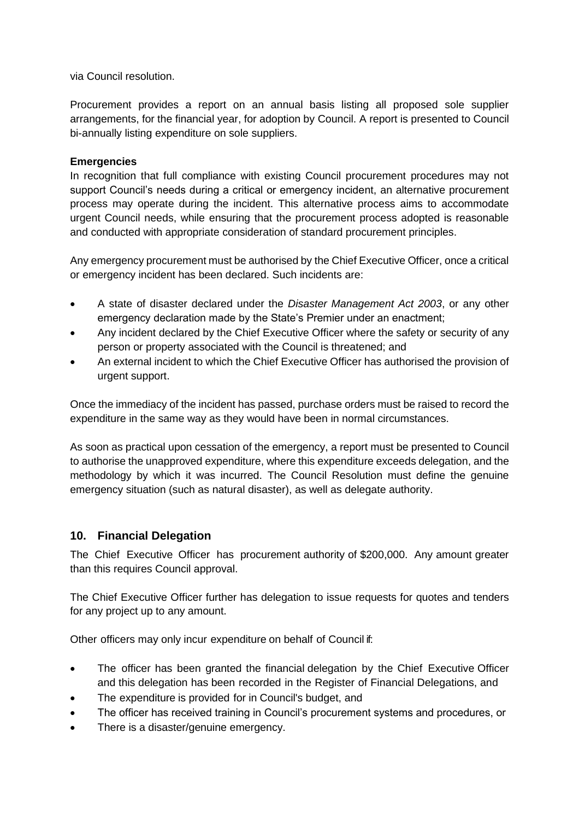via Council resolution.

Procurement provides a report on an annual basis listing all proposed sole supplier arrangements, for the financial year, for adoption by Council. A report is presented to Council bi-annually listing expenditure on sole suppliers.

# **Emergencies**

In recognition that full compliance with existing Council procurement procedures may not support Council's needs during a critical or emergency incident, an alternative procurement process may operate during the incident. This alternative process aims to accommodate urgent Council needs, while ensuring that the procurement process adopted is reasonable and conducted with appropriate consideration of standard procurement principles.

Any emergency procurement must be authorised by the Chief Executive Officer, once a critical or emergency incident has been declared. Such incidents are:

- A state of disaster declared under the *Disaster Management Act 2003*, or any other emergency declaration made by the State's Premier under an enactment;
- Any incident declared by the Chief Executive Officer where the safety or security of any person or property associated with the Council is threatened; and
- An external incident to which the Chief Executive Officer has authorised the provision of urgent support.

Once the immediacy of the incident has passed, purchase orders must be raised to record the expenditure in the same way as they would have been in normal circumstances.

As soon as practical upon cessation of the emergency, a report must be presented to Council to authorise the unapproved expenditure, where this expenditure exceeds delegation, and the methodology by which it was incurred. The Council Resolution must define the genuine emergency situation (such as natural disaster), as well as delegate authority.

# **10. Financial Delegation**

The Chief Executive Officer has procurement authority of \$200,000. Any amount greater than this requires Council approval.

The Chief Executive Officer further has delegation to issue requests for quotes and tenders for any project up to any amount.

Other officers may only incur expenditure on behalf of Council if:

- The officer has been granted the financial delegation by the Chief Executive Officer and this delegation has been recorded in the Register of Financial Delegations, and
- The expenditure is provided for in Council's budget, and
- The officer has received training in Council's procurement systems and procedures, or
- There is a disaster/genuine emergency.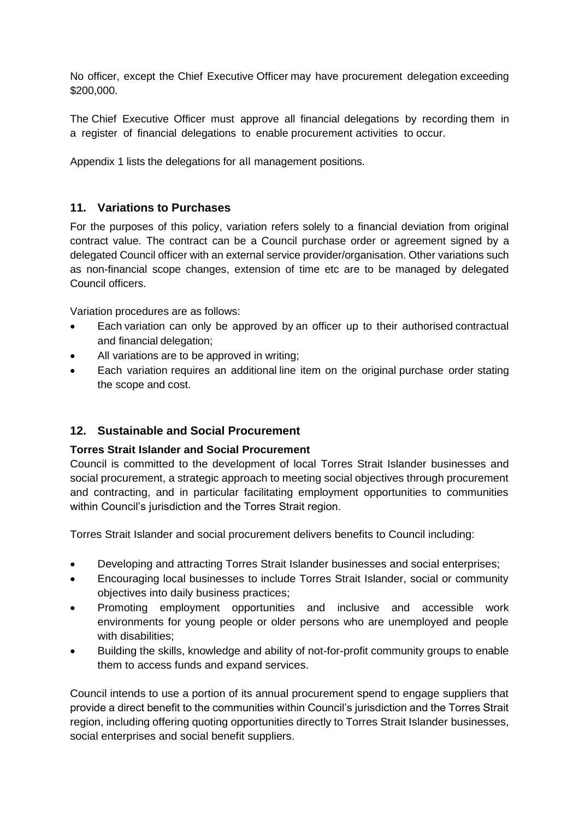No officer, except the Chief Executive Officer may have procurement delegation exceeding \$200,000.

The Chief Executive Officer must approve all financial delegations by recording them in a register of financial delegations to enable procurement activities to occur.

Appendix 1 lists the delegations for all management positions.

# **11. Variations to Purchases**

For the purposes of this policy, variation refers solely to a financial deviation from original contract value. The contract can be a Council purchase order or agreement signed by a delegated Council officer with an external service provider/organisation. Other variations such as non-financial scope changes, extension of time etc are to be managed by delegated Council officers.

Variation procedures are as follows:

- Each variation can only be approved by an officer up to their authorised contractual and financial delegation;
- All variations are to be approved in writing;
- Each variation requires an additional line item on the original purchase order stating the scope and cost.

# **12. Sustainable and Social Procurement**

# **Torres Strait Islander and Social Procurement**

Council is committed to the development of local Torres Strait Islander businesses and social procurement, a strategic approach to meeting social objectives through procurement and contracting, and in particular facilitating employment opportunities to communities within Council's jurisdiction and the Torres Strait region.

Torres Strait Islander and social procurement delivers benefits to Council including:

- Developing and attracting Torres Strait Islander businesses and social enterprises;
- Encouraging local businesses to include Torres Strait Islander, social or community objectives into daily business practices;
- Promoting employment opportunities and inclusive and accessible work environments for young people or older persons who are unemployed and people with disabilities:
- Building the skills, knowledge and ability of not-for-profit community groups to enable them to access funds and expand services.

Council intends to use a portion of its annual procurement spend to engage suppliers that provide a direct benefit to the communities within Council's jurisdiction and the Torres Strait region, including offering quoting opportunities directly to Torres Strait Islander businesses, social enterprises and social benefit suppliers.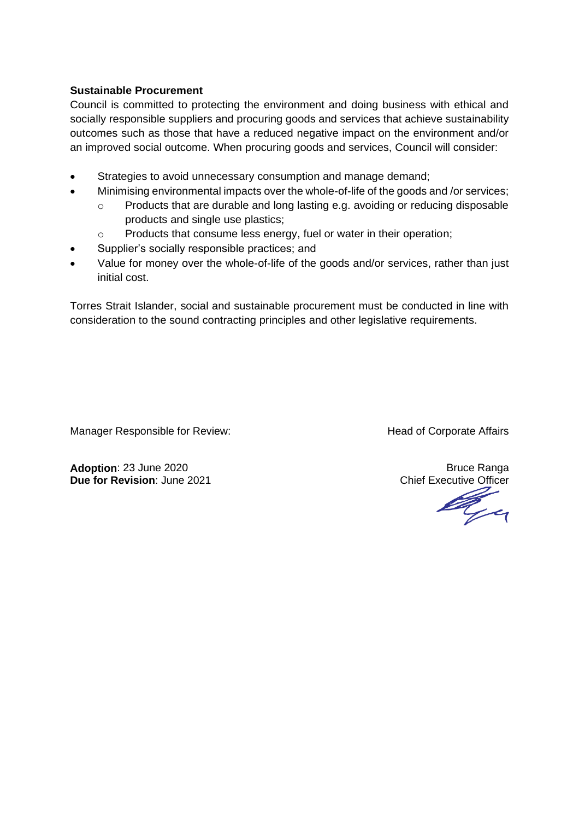#### **Sustainable Procurement**

Council is committed to protecting the environment and doing business with ethical and socially responsible suppliers and procuring goods and services that achieve sustainability outcomes such as those that have a reduced negative impact on the environment and/or an improved social outcome. When procuring goods and services, Council will consider:

- Strategies to avoid unnecessary consumption and manage demand;
- Minimising environmental impacts over the whole-of-life of the goods and /or services;
	- o Products that are durable and long lasting e.g. avoiding or reducing disposable products and single use plastics;
	- o Products that consume less energy, fuel or water in their operation;
- Supplier's socially responsible practices; and
- Value for money over the whole-of-life of the goods and/or services, rather than just initial cost.

Torres Strait Islander, social and sustainable procurement must be conducted in line with consideration to the sound contracting principles and other legislative requirements.

Manager Responsible for Review: Manager Responsible for Review: Head of Corporate Affairs

**Adoption**: 23 June 2020<br> **Due for Revision**: June 2021<br> **Due for Revision**: June 2021

**Due for Revision**: June 2021 Chief Executive Officer<br>
Chief Executive Officer